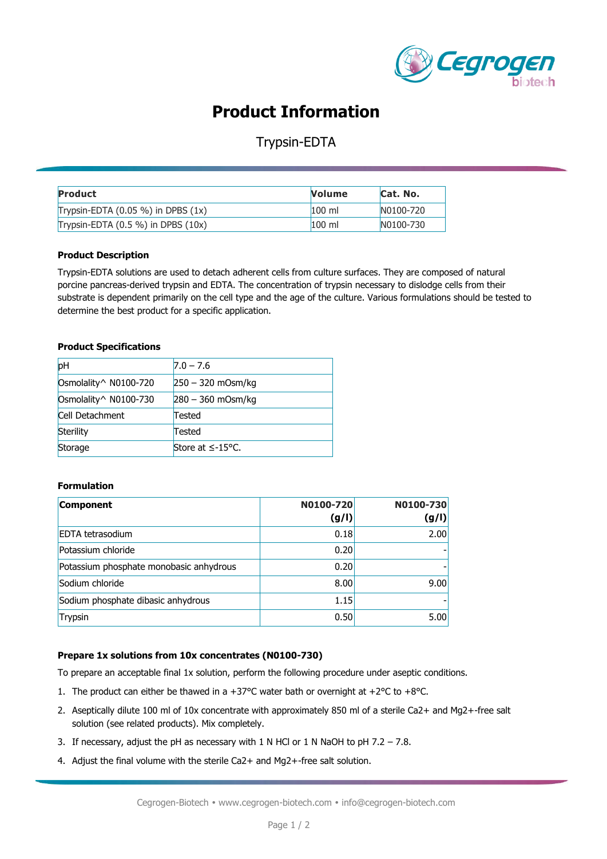

# **Product Information**

### Trypsin-EDTA

| <b>Product</b>                         | <b>Volume</b>    | Cat. No.  |
|----------------------------------------|------------------|-----------|
| Trypsin-EDTA $(0.05\%)$ in DPBS $(1x)$ | $100 \mathrm{m}$ | N0100-720 |
| Trypsin-EDTA $(0.5\%)$ in DPBS $(10x)$ | $100 \mathrm{m}$ | N0100-730 |

#### **Product Description**

Trypsin-EDTA solutions are used to detach adherent cells from culture surfaces. They are composed of natural porcine pancreas-derived trypsin and EDTA. The concentration of trypsin necessary to dislodge cells from their substrate is dependent primarily on the cell type and the age of the culture. Various formulations should be tested to determine the best product for a specific application.

#### **Product Specifications**

| pH                     | $7.0 - 7.6$         |
|------------------------|---------------------|
| Osmolality^ N0100-720  | $250 - 320$ mOsm/kg |
| Osmolality ^ N0100-730 | $280 - 360$ mOsm/kg |
| <b>Cell Detachment</b> | Tested              |
| Sterility              | Tested              |
| Storage                | Store at $≤-15$ °C. |

### **Formulation**

| Component                               | N0100-720<br>(g/I) | N0100-730<br>(g/I) |
|-----------------------------------------|--------------------|--------------------|
| <b>EDTA</b> tetrasodium                 | 0.18               | 2.00               |
| Potassium chloride                      | 0.20               |                    |
| Potassium phosphate monobasic anhydrous | 0.20               |                    |
| Sodium chloride                         | 8.00 <sub>l</sub>  | 9.00               |
| Sodium phosphate dibasic anhydrous      | 1.15               |                    |
| Trypsin                                 | 0.50               | 5.00               |

#### **Prepare 1x solutions from 10x concentrates (N0100-730)**

To prepare an acceptable final 1x solution, perform the following procedure under aseptic conditions.

- 1. The product can either be thawed in a +37°C water bath or overnight at +2°C to +8°C.
- 2. Aseptically dilute 100 ml of 10x concentrate with approximately 850 ml of a sterile Ca2+ and Mg2+-free salt solution (see related products). Mix completely.
- 3. If necessary, adjust the pH as necessary with 1 N HCl or 1 N NaOH to pH  $7.2 7.8$ .
- 4. Adjust the final volume with the sterile Ca2+ and Mg2+-free salt solution.